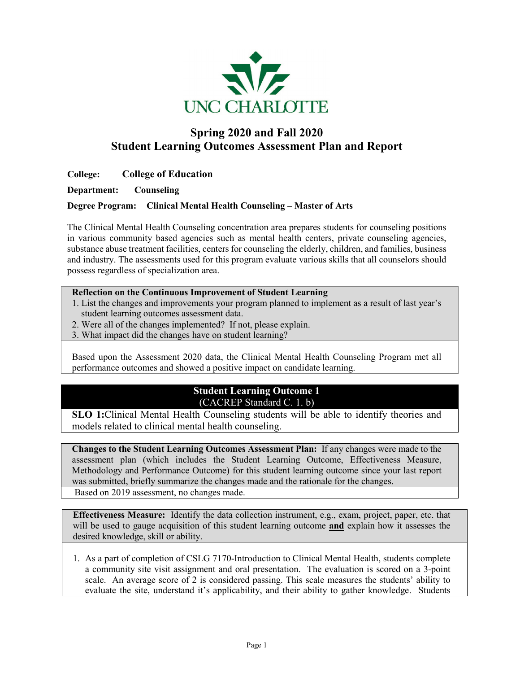

# **Spring 2020 and Fall 2020 Student Learning Outcomes Assessment Plan and Report**

# **College: College of Education**

**Department: Counseling** 

### **Degree Program: Clinical Mental Health Counseling – Master of Arts**

The Clinical Mental Health Counseling concentration area prepares students for counseling positions in various community based agencies such as mental health centers, private counseling agencies, substance abuse treatment facilities, centers for counseling the elderly, children, and families, business and industry. The assessments used for this program evaluate various skills that all counselors should possess regardless of specialization area.

#### **Reflection on the Continuous Improvement of Student Learning**

- 1. List the changes and improvements your program planned to implement as a result of last year's student learning outcomes assessment data.
- 2. Were all of the changes implemented? If not, please explain.
- 3. What impact did the changes have on student learning?

Based upon the Assessment 2020 data, the Clinical Mental Health Counseling Program met all performance outcomes and showed a positive impact on candidate learning.

# **Student Learning Outcome 1** (CACREP Standard C. 1. b)

**SLO 1:**Clinical Mental Health Counseling students will be able to identify theories and models related to clinical mental health counseling.

**Changes to the Student Learning Outcomes Assessment Plan:** If any changes were made to the assessment plan (which includes the Student Learning Outcome, Effectiveness Measure, Methodology and Performance Outcome) for this student learning outcome since your last report was submitted, briefly summarize the changes made and the rationale for the changes.

Based on 2019 assessment, no changes made.

**Effectiveness Measure:** Identify the data collection instrument, e.g., exam, project, paper, etc. that will be used to gauge acquisition of this student learning outcome **and** explain how it assesses the desired knowledge, skill or ability.

1. As a part of completion of CSLG 7170-Introduction to Clinical Mental Health, students complete a community site visit assignment and oral presentation. The evaluation is scored on a 3-point scale. An average score of 2 is considered passing. This scale measures the students' ability to evaluate the site, understand it's applicability, and their ability to gather knowledge. Students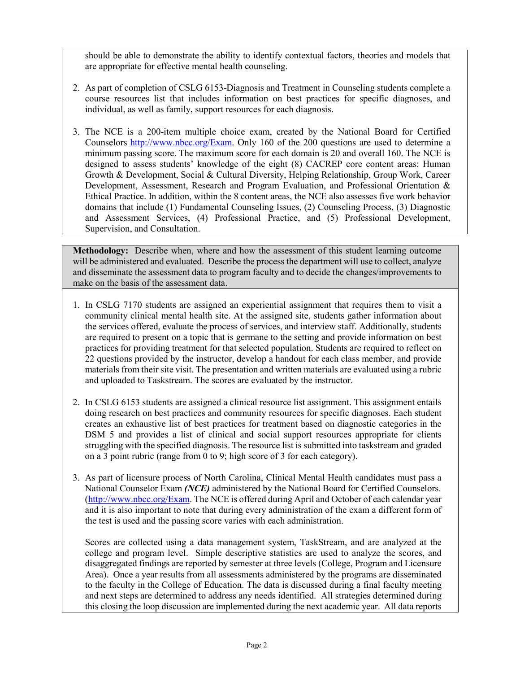should be able to demonstrate the ability to identify contextual factors, theories and models that are appropriate for effective mental health counseling.

- 2. As part of completion of CSLG 6153-Diagnosis and Treatment in Counseling students complete a course resources list that includes information on best practices for specific diagnoses, and individual, as well as family, support resources for each diagnosis.
- 3. The NCE is a 200-item multiple choice exam, created by the National Board for Certified Counselors [http://www.nbcc.org/Exam.](http://www.nbcc.org/Exam) Only 160 of the 200 questions are used to determine a minimum passing score. The maximum score for each domain is 20 and overall 160. The NCE is designed to assess students' knowledge of the eight (8) CACREP core content areas: Human Growth & Development, Social & Cultural Diversity, Helping Relationship, Group Work, Career Development, Assessment, Research and Program Evaluation, and Professional Orientation & Ethical Practice. In addition, within the 8 content areas, the NCE also assesses five work behavior domains that include (1) Fundamental Counseling Issues, (2) Counseling Process, (3) Diagnostic and Assessment Services, (4) Professional Practice, and (5) Professional Development, Supervision, and Consultation.

**Methodology:** Describe when, where and how the assessment of this student learning outcome will be administered and evaluated. Describe the process the department will use to collect, analyze and disseminate the assessment data to program faculty and to decide the changes/improvements to make on the basis of the assessment data.

- 1. In CSLG 7170 students are assigned an experiential assignment that requires them to visit a community clinical mental health site. At the assigned site, students gather information about the services offered, evaluate the process of services, and interview staff. Additionally, students are required to present on a topic that is germane to the setting and provide information on best practices for providing treatment for that selected population. Students are required to reflect on 22 questions provided by the instructor, develop a handout for each class member, and provide materials from their site visit. The presentation and written materials are evaluated using a rubric and uploaded to Taskstream. The scores are evaluated by the instructor.
- 2. In CSLG 6153 students are assigned a clinical resource list assignment. This assignment entails doing research on best practices and community resources for specific diagnoses. Each student creates an exhaustive list of best practices for treatment based on diagnostic categories in the DSM 5 and provides a list of clinical and social support resources appropriate for clients struggling with the specified diagnosis. The resource list is submitted into taskstream and graded on a 3 point rubric (range from 0 to 9; high score of 3 for each category).
- 3. As part of licensure process of North Carolina, Clinical Mental Health candidates must pass a National Counselor Exam *(NCE)* administered by the National Board for Certified Counselors. [\(http://www.nbcc.org/Exam.](http://www.nbcc.org/Exam) The NCE is offered during April and October of each calendar year and it is also important to note that during every administration of the exam a different form of the test is used and the passing score varies with each administration.

Scores are collected using a data management system, TaskStream, and are analyzed at the college and program level. Simple descriptive statistics are used to analyze the scores, and disaggregated findings are reported by semester at three levels (College, Program and Licensure Area). Once a year results from all assessments administered by the programs are disseminated to the faculty in the College of Education. The data is discussed during a final faculty meeting and next steps are determined to address any needs identified. All strategies determined during this closing the loop discussion are implemented during the next academic year. All data reports